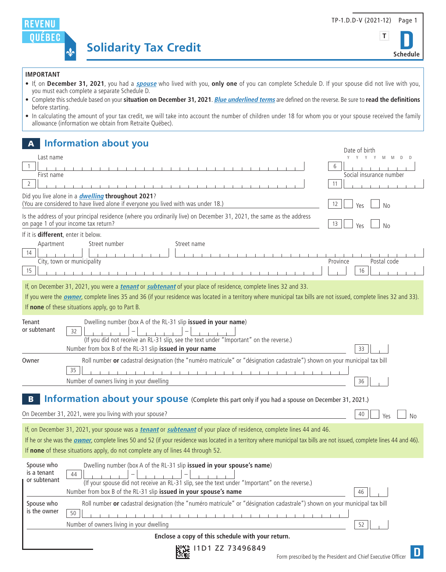



## **IMPORTANT**

- If, on **December 31, 2021**, you had a **spouse** who lived with you, **only one** of you can complete Schedule D. If your spouse did not live with you, you must each complete a separate Schedule D.
- Complete this schedule based on your **situation on December 31, 2021**. **Blue underlined terms** are defined on the reverse. Be sure to **read the definitions** before starting.
- In calculating the amount of your tax credit, we will take into account the number of children under 18 for whom you or your spouse received the family allowance (information we obtain from Retraite Québec).

# **A Information about you** Data of birth and the contract of birth and the contract of birth and the contract of birth

| LY + 11 D1 77 72406940                                                                                                                                                                                                         |                                                                                                                                                                                       |                               |
|--------------------------------------------------------------------------------------------------------------------------------------------------------------------------------------------------------------------------------|---------------------------------------------------------------------------------------------------------------------------------------------------------------------------------------|-------------------------------|
|                                                                                                                                                                                                                                | Enclose a copy of this schedule with your return.                                                                                                                                     |                               |
|                                                                                                                                                                                                                                | 50<br>Number of owners living in your dwelling                                                                                                                                        | 52                            |
| Spouse who<br>is the owner                                                                                                                                                                                                     | Roll number or cadastral designation (the "numéro matricule" or "désignation cadastrale") shown on your municipal tax bill                                                            |                               |
|                                                                                                                                                                                                                                | Number from box B of the RL-31 slip issued in your spouse's name                                                                                                                      | 46                            |
| Spouse who<br>is a tenant<br>or subtenant                                                                                                                                                                                      | Dwelling number (box A of the RL-31 slip issued in your spouse's name)<br>44<br>(If your spouse did not receive an RL-31 slip, see the text under "Important" on the reverse.)        |                               |
| If none of these situations apply, do not complete any of lines 44 through 52.                                                                                                                                                 |                                                                                                                                                                                       |                               |
| If he or she was the <i>owner</i> , complete lines 50 and 52 (if your residence was located in a territory where municipal tax bills are not issued, complete lines 44 and 46).                                                |                                                                                                                                                                                       |                               |
| If, on December 31, 2021, your spouse was a <i>tenant</i> or <i>subtenant</i> of your place of residence, complete lines 44 and 46.                                                                                            |                                                                                                                                                                                       |                               |
|                                                                                                                                                                                                                                | On December 31, 2021, were you living with your spouse?                                                                                                                               | 40<br>Yes<br>Nο               |
| <b>Information about your spouse</b> (Complete this part only if you had a spouse on December 31, 2021.)                                                                                                                       |                                                                                                                                                                                       |                               |
|                                                                                                                                                                                                                                | Number of owners living in your dwelling                                                                                                                                              | 36                            |
|                                                                                                                                                                                                                                | 35                                                                                                                                                                                    |                               |
| Owner                                                                                                                                                                                                                          | Number from box B of the RL-31 slip issued in your name<br>Roll number or cadastral designation (the "numéro matricule" or "désignation cadastrale") shown on your municipal tax bill | 33                            |
| or subtenant                                                                                                                                                                                                                   | 32<br>(If you did not receive an RL-31 slip, see the text under "Important" on the reverse.)                                                                                          |                               |
| Tenant                                                                                                                                                                                                                         | Dwelling number (box A of the RL-31 slip issued in your name)                                                                                                                         |                               |
| If you were the <b>owner</b> , complete lines 35 and 36 (if your residence was located in a territory where municipal tax bills are not issued, complete lines 32 and 33).<br>If none of these situations apply, go to Part B. |                                                                                                                                                                                       |                               |
| If, on December 31, 2021, you were a <i>tenant</i> or <i>subtenant</i> of your place of residence, complete lines 32 and 33.                                                                                                   |                                                                                                                                                                                       |                               |
| Apartment<br>14<br>15                                                                                                                                                                                                          | Street number<br>Street name<br>City, town or municipality                                                                                                                            | Province<br>Postal code<br>16 |
| If it is different, enter it below.                                                                                                                                                                                            |                                                                                                                                                                                       |                               |
|                                                                                                                                                                                                                                | Is the address of your principal residence (where you ordinarily live) on December 31, 2021, the same as the address<br>on page 1 of your income tax return?                          | 13<br>Yes<br>No               |
|                                                                                                                                                                                                                                | Did you live alone in a <i>dwelling</i> throughout 2021?<br>(You are considered to have lived alone if everyone you lived with was under 18.)                                         | 12<br>Yes<br>No               |
| $\overline{2}$                                                                                                                                                                                                                 |                                                                                                                                                                                       | 11                            |
| First name                                                                                                                                                                                                                     |                                                                                                                                                                                       | 6<br>Social insurance number  |
| Last name                                                                                                                                                                                                                      |                                                                                                                                                                                       | Y Y Y Y<br>M                  |

陸録